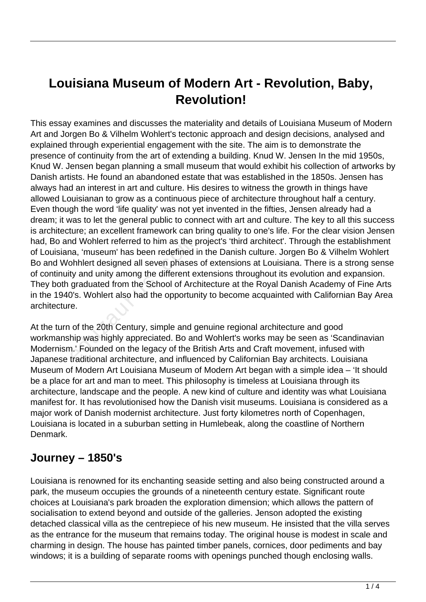# **Louisiana Museum of Modern Art - Revolution, Baby, Revolution!**

This essay examines and discusses the materiality and details of Louisiana Museum of Modern Art and Jorgen Bo & Vilhelm Wohlert's tectonic approach and design decisions, analysed and explained through experiential engagement with the site. The aim is to demonstrate the presence of continuity from the art of extending a building. Knud W. Jensen In the mid 1950s, Knud W. Jensen began planning a small museum that would exhibit his collection of artworks by Danish artists. He found an abandoned estate that was established in the 1850s. Jensen has always had an interest in art and culture. His desires to witness the growth in things have allowed Louisianan to grow as a continuous piece of architecture throughout half a century. Even though the word 'life quality' was not yet invented in the fifties, Jensen already had a dream; it was to let the general public to connect with art and culture. The key to all this success is architecture; an excellent framework can bring quality to one's life. For the clear vision Jensen had, Bo and Wohlert referred to him as the project's 'third architect'. Through the establishment of Louisiana, 'museum' has been redefined in the Danish culture. Jorgen Bo & Vilhelm Wohlert Bo and Wohhlert designed all seven phases of extensions at Louisiana. There is a strong sense of continuity and unity among the different extensions throughout its evolution and expansion. They both graduated from the School of Architecture at the Royal Danish Academy of Fine Arts in the 1940's. Wohlert also had the opportunity to become acquainted with Californian Bay Area architecture. nd Wohlert referred to him as the productional, 'museum' has been redefined in<br>bhlert designed all seven phases<br>ty and unity among the different e:<br>graduated from the School of Arc<br>0's. Wohlert also had the opportun<br>e.<br>of

At the turn of the 20th Century, simple and genuine regional architecture and good workmanship was highly appreciated. Bo and Wohlert's works may be seen as 'Scandinavian Modernism.' Founded on the legacy of the British Arts and Craft movement, infused with Japanese traditional architecture, and influenced by Californian Bay architects. Louisiana Museum of Modern Art Louisiana Museum of Modern Art began with a simple idea – 'It should be a place for art and man to meet. This philosophy is timeless at Louisiana through its architecture, landscape and the people. A new kind of culture and identity was what Louisiana manifest for. It has revolutionised how the Danish visit museums. Louisiana is considered as a major work of Danish modernist architecture. Just forty kilometres north of Copenhagen, Louisiana is located in a suburban setting in Humlebeak, along the coastline of Northern Denmark.

#### **Journey – 1850's**

Louisiana is renowned for its enchanting seaside setting and also being constructed around a park, the museum occupies the grounds of a nineteenth century estate. Significant route choices at Louisiana's park broaden the exploration dimension; which allows the pattern of socialisation to extend beyond and outside of the galleries. Jenson adopted the existing detached classical villa as the centrepiece of his new museum. He insisted that the villa serves as the entrance for the museum that remains today. The original house is modest in scale and charming in design. The house has painted timber panels, cornices, door pediments and bay windows; it is a building of separate rooms with openings punched though enclosing walls.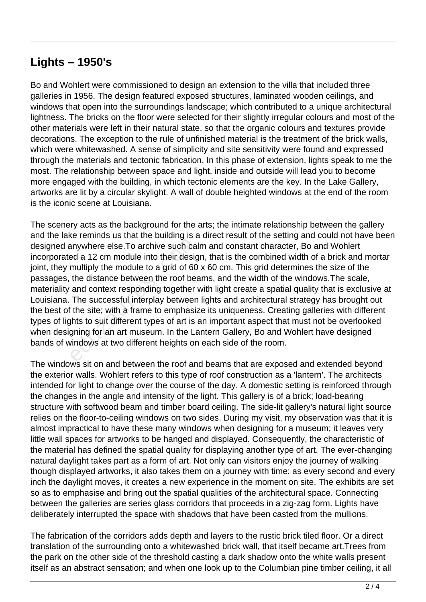#### **Lights – 1950's**

Bo and Wohlert were commissioned to design an extension to the villa that included three galleries in 1956. The design featured exposed structures, laminated wooden ceilings, and windows that open into the surroundings landscape; which contributed to a unique architectural lightness. The bricks on the floor were selected for their slightly irregular colours and most of the other materials were left in their natural state, so that the organic colours and textures provide decorations. The exception to the rule of unfinished material is the treatment of the brick walls, which were whitewashed. A sense of simplicity and site sensitivity were found and expressed through the materials and tectonic fabrication. In this phase of extension, lights speak to me the most. The relationship between space and light, inside and outside will lead you to become more engaged with the building, in which tectonic elements are the key. In the Lake Gallery, artworks are lit by a circular skylight. A wall of double heighted windows at the end of the room is the iconic scene at Louisiana.

The scenery acts as the background for the arts; the intimate relationship between the gallery and the lake reminds us that the building is a direct result of the setting and could not have been designed anywhere else.To archive such calm and constant character, Bo and Wohlert incorporated a 12 cm module into their design, that is the combined width of a brick and mortar joint, they multiply the module to a grid of 60 x 60 cm. This grid determines the size of the passages, the distance between the roof beams, and the width of the windows.The scale, materiality and context responding together with light create a spatial quality that is exclusive at Louisiana. The successful interplay between lights and architectural strategy has brought out the best of the site; with a frame to emphasize its uniqueness. Creating galleries with different types of lights to suit different types of art is an important aspect that must not be overlooked when designing for an art museum. In the Lantern Gallery, Bo and Wohlert have designed bands of windows at two different heights on each side of the room. anywhere else.To archive such ca<br>ed a 12 cm module into their design<br>multiply the module to a grid of 60<br>the distance between the roof bea<br>and context responding together<br>The successful interplay between<br>the site; with a f

The windows sit on and between the roof and beams that are exposed and extended beyond the exterior walls. Wohlert refers to this type of roof construction as a 'lantern'. The architects intended for light to change over the course of the day. A domestic setting is reinforced through the changes in the angle and intensity of the light. This gallery is of a brick; load-bearing structure with softwood beam and timber board ceiling. The side-lit gallery's natural light source relies on the floor-to-ceiling windows on two sides. During my visit, my observation was that it is almost impractical to have these many windows when designing for a museum; it leaves very little wall spaces for artworks to be hanged and displayed. Consequently, the characteristic of the material has defined the spatial quality for displaying another type of art. The ever-changing natural daylight takes part as a form of art. Not only can visitors enjoy the journey of walking though displayed artworks, it also takes them on a journey with time: as every second and every inch the daylight moves, it creates a new experience in the moment on site. The exhibits are set so as to emphasise and bring out the spatial qualities of the architectural space. Connecting between the galleries are series glass corridors that proceeds in a zig-zag form. Lights have deliberately interrupted the space with shadows that have been casted from the mullions.

The fabrication of the corridors adds depth and layers to the rustic brick tiled floor. Or a direct translation of the surrounding onto a whitewashed brick wall, that itself became art.Trees from the park on the other side of the threshold casting a dark shadow onto the white walls present itself as an abstract sensation; and when one look up to the Columbian pine timber ceiling, it all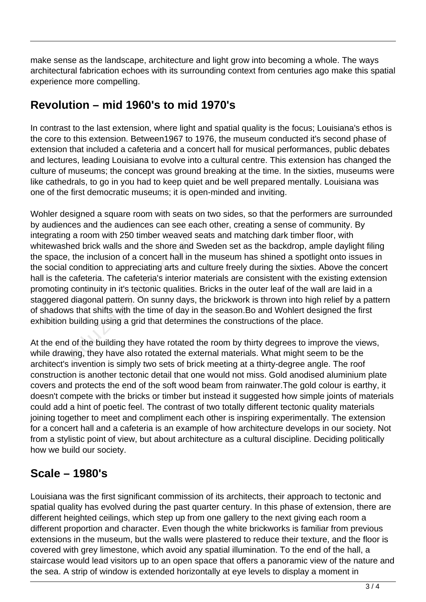make sense as the landscape, architecture and light grow into becoming a whole. The ways architectural fabrication echoes with its surrounding context from centuries ago make this spatial experience more compelling.

### **Revolution – mid 1960's to mid 1970's**

In contrast to the last extension, where light and spatial quality is the focus; Louisiana's ethos is the core to this extension. Between1967 to 1976, the museum conducted it's second phase of extension that included a cafeteria and a concert hall for musical performances, public debates and lectures, leading Louisiana to evolve into a cultural centre. This extension has changed the culture of museums; the concept was ground breaking at the time. In the sixties, museums were like cathedrals, to go in you had to keep quiet and be well prepared mentally. Louisiana was one of the first democratic museums; it is open-minded and inviting.

Wohler designed a square room with seats on two sides, so that the performers are surrounded by audiences and the audiences can see each other, creating a sense of community. By integrating a room with 250 timber weaved seats and matching dark timber floor, with whitewashed brick walls and the shore and Sweden set as the backdrop, ample daylight filing the space, the inclusion of a concert hall in the museum has shined a spotlight onto issues in the social condition to appreciating arts and culture freely during the sixties. Above the concert hall is the cafeteria. The cafeteria's interior materials are consistent with the existing extension promoting continuity in it's tectonic qualities. Bricks in the outer leaf of the wall are laid in a staggered diagonal pattern. On sunny days, the brickwork is thrown into high relief by a pattern of shadows that shifts with the time of day in the season.Bo and Wohlert designed the first exhibition building using a grid that determines the constructions of the place. ed brick walls and the shore and the inclusion of a concert hall in the condition to appreciating arts and cafeteria. The cafeteria's interior neontinuity in it's tectonic qualities. diagonal pattern. On sunny days, s that

At the end of the building they have rotated the room by thirty degrees to improve the views, while drawing, they have also rotated the external materials. What might seem to be the architect's invention is simply two sets of brick meeting at a thirty-degree angle. The roof construction is another tectonic detail that one would not miss. Gold anodised aluminium plate covers and protects the end of the soft wood beam from rainwater.The gold colour is earthy, it doesn't compete with the bricks or timber but instead it suggested how simple joints of materials could add a hint of poetic feel. The contrast of two totally different tectonic quality materials joining together to meet and compliment each other is inspiring experimentally. The extension for a concert hall and a cafeteria is an example of how architecture develops in our society. Not from a stylistic point of view, but about architecture as a cultural discipline. Deciding politically how we build our society.

### **Scale – 1980's**

Louisiana was the first significant commission of its architects, their approach to tectonic and spatial quality has evolved during the past quarter century. In this phase of extension, there are different heighted ceilings, which step up from one gallery to the next giving each room a different proportion and character. Even though the white brickworks is familiar from previous extensions in the museum, but the walls were plastered to reduce their texture, and the floor is covered with grey limestone, which avoid any spatial illumination. To the end of the hall, a staircase would lead visitors up to an open space that offers a panoramic view of the nature and the sea. A strip of window is extended horizontally at eye levels to display a moment in